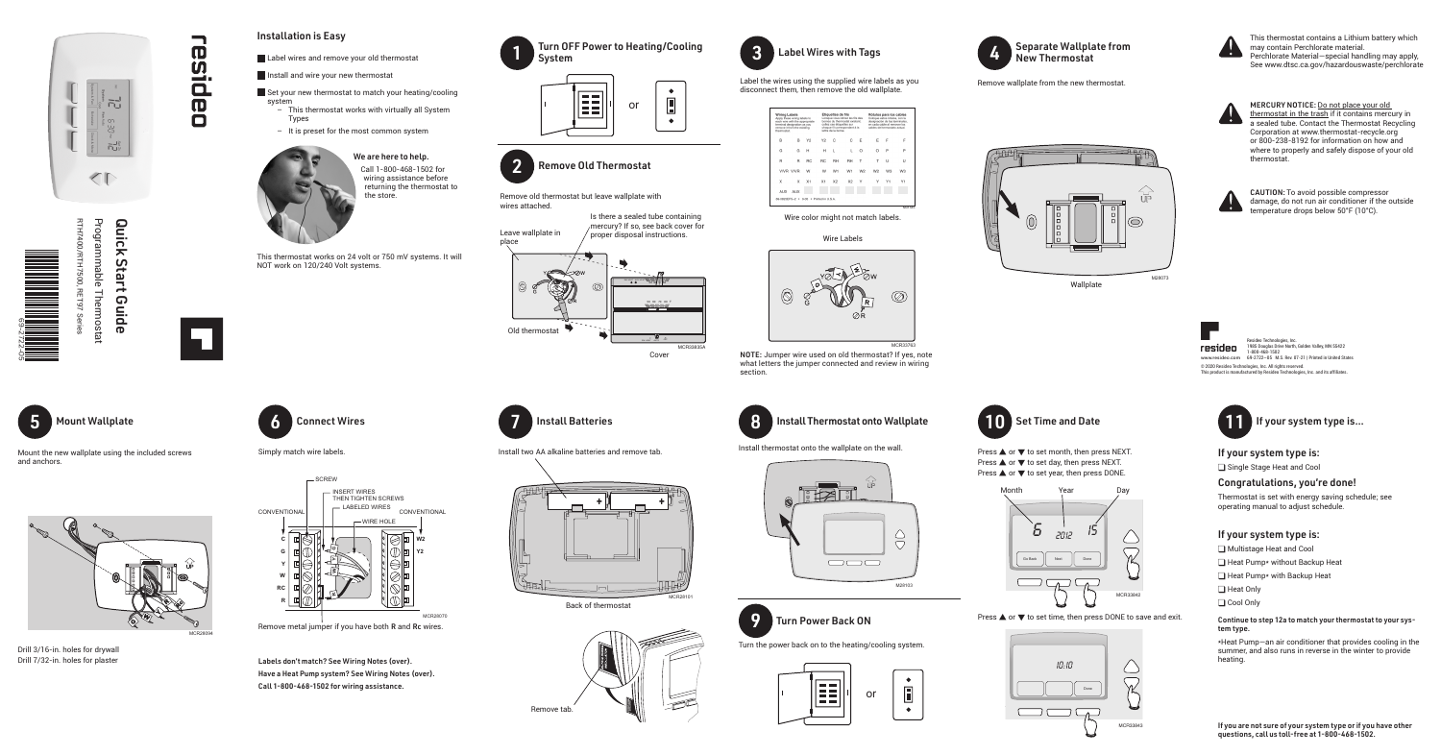



### Installation is Easy

- Label wires and remove your old thermostat
- Install and wire your new thermostat
- Set your new thermostat to match your heating/cooling system
	- This thermostat works with virtually all System Types
	- It is preset for the most common system



# We are here to help.

Call 1-800-468-1502 for wiring assistance before returning the thermostat to

 $\mathcal{C}_{\mathsf{UP}}$  $\circledcirc$ M28073

the store. Remove old thermostat but leave wallplate with wires attached.





 $\bullet$ **The Co**  $\Box$ or 122  $\bullet$ 



Label the wires using the supplied wire labels as you disconnect them, then remove the old wallplate.

| <b>Wiring Labels</b><br>Apply these wiring labels to<br>each wire with the appropriate<br>terminal designation as you<br>remove it from the existing<br>thermostat |     |                | Étiquettes de fils<br>Lorsque vous retirez les fils<br>bomes du thermostat exista<br>collez ces étiquettes sur<br>chaque fil correspondant à<br>lettre de la bome. |                |                |
|--------------------------------------------------------------------------------------------------------------------------------------------------------------------|-----|----------------|--------------------------------------------------------------------------------------------------------------------------------------------------------------------|----------------|----------------|
| B                                                                                                                                                                  | B   | Y2             | Y <sub>2</sub>                                                                                                                                                     | C              | C              |
| G                                                                                                                                                                  | G   | н              | н                                                                                                                                                                  | ı.             | п              |
| R                                                                                                                                                                  | R   | <b>RC</b>      | <b>RC</b>                                                                                                                                                          | RH             | RH             |
| <b>V/VR V/VR</b>                                                                                                                                                   |     | w              | w                                                                                                                                                                  | W <sub>1</sub> | W <sub>1</sub> |
| X                                                                                                                                                                  | x   | X <sub>1</sub> | X <sub>1</sub>                                                                                                                                                     | X <sub>2</sub> | X <sub>2</sub> |
| <b>AUX</b>                                                                                                                                                         | AUX |                |                                                                                                                                                                    |                |                |
| 69-0823EFS-2 . 9-05 . Printed in U.S.A.                                                                                                                            |     |                |                                                                                                                                                                    |                |                |

# 3 Label Wires with Tags

#### Wire Labels

Wire color might not match labels.



Remove wallplate from the new thermostat.

New Thermostat

Separate Wallplate from

Wallplate



Mount the new wallplate using the included screws

and anchors.

Programmable Thermostat Quick RTH7400/RTH7500, RET97 Series Programmable Thermostat Quick Start Guide 00/RTH7500 Start RET97 **Guide** 

**RTH7** 



┓

esidea





Drill 3/16-in. holes for drywall Drill 7/32-in. holes for plaster





Simply match wire labels.

MERCURY NOTICE: Do not place your old thermostat in the trash if it contains mercury in **A** a sealed tube. Contact the Thermostat Recycling Corporation at www.thermostat-recycle.org or 800-238-8192 for information on how and where to properly and safely dispose of your old thermostat.



Labels don't match? See Wiring Notes (over). Have a Heat Pump system? See Wiring Notes (over). Call 1-800-468-1502 for wiring assistance.





Back of thermostat



M28103



 $\bigtriangleup$ 

 $\bigtriangledown$ 

Install thermostat onto the wallplate on the wall.



Turn the power back on to the heating/cooling system.











## If your system type is:

single Stage Heat and Cool

## Congratulations, you're done!

Thermostat is set with energy saving schedule; see operating manual to adjust schedule.

## If your system type is:

- Multistage Heat and Cool
- $\Box$  Heat Pump\* without Backup Heat
- $\Box$  Heat Pump\* with Backup Heat
- □ Heat Only
- □ Cool Only

#### Continue to step 12a to match your thermostat to your system type.

\*Heat Pump—an air conditioner that provides cooling in the summer, and also runs in reverse in the winter to provide heating.

This thermostat works on 24 volt or 750 mV systems. It will NOT work on 120/240 Volt systems.



읎

CAUTION: To avoid possible compressor damage, do not run air conditioner if the outside temperature drops below 50°F (10°C).



This thermostat contains a Lithium battery which may contain Perchlorate material. Perchlorate Material—special handling may apply, See www.dtsc.ca.gov/hazardouswaste/perchlorate

NOTE: Jumper wire used on old thermostat? If yes, note what letters the jumper connected and review in wiring section.



**Install Batteries** 











10:10  $\bigcirc$  $\sqrt{2}$ Done コロ  $\Box$   $\Box$ MCR33843



 $\begin{bmatrix} 1 \end{bmatrix}$  If your system type is...

If you are not sure of your system type or if you have other questions, call us toll-free at 1-800-468-1502.





Resideo Technologies, Inc. 1985 Douglas Drive North, Golden Valley, MN 55422 1-800-468-1502 69-2722—05 M.S. Rev. 07-21 | Printed in United States **www.resideo.com**© 2020 Resideo Technologies, Inc. All rights reserved. This product is manufactured by Resideo Technologies, Inc. and its affiliates.



Press  $\triangle$  or  $\nabla$  to set month, then press NEXT. Press  $\triangle$  or  $\nabla$  to set day, then press NEXT. Press  $\triangle$  or  $\nabla$  to set year, then press DONE.